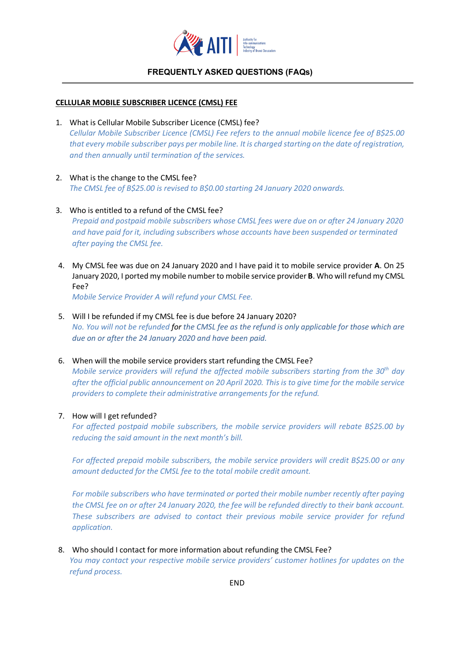

### **FREQUENTLY ASKED QUESTIONS (FAQs)**

### **CELLULAR MOBILE SUBSCRIBER LICENCE (CMSL) FEE**

- 1. What is Cellular Mobile Subscriber Licence (CMSL) fee? *Cellular Mobile Subscriber Licence (CMSL) Fee refers to the annual mobile licence fee of B\$25.00 that every mobile subscriber pays per mobile line. It is charged starting on the date of registration, and then annually until termination of the services.*
- 2. What is the change to the CMSL fee? *The CMSL fee of B\$25.00 is revised to B\$0.00 starting 24 January 2020 onwards.*
- 3. Who is entitled to a refund of the CMSL fee? *Prepaid and postpaid mobile subscribers whose CMSL fees were due on or after 24 January 2020 and have paid for it, including subscribers whose accounts have been suspended or terminated after paying the CMSL fee.*
- 4. My CMSL fee was due on 24 January 2020 and I have paid it to mobile service provider **A**. On 25 January 2020, I ported my mobile number to mobile service provider **B**. Who will refund my CMSL Fee?

*Mobile Service Provider A will refund your CMSL Fee.* 

- 5. Will I be refunded if my CMSL fee is due before 24 January 2020? *No. You will not be refunded for the CMSL fee as the refund is only applicable for those which are due on or after the 24 January 2020 and have been paid.*
- 6. When will the mobile service providers start refunding the CMSL Fee? *Mobile service providers will refund the affected mobile subscribers starting from the 30th day after the official public announcement on 20 April 2020. This is to give time for the mobile service providers to complete their administrative arrangements for the refund.*
- 7. How will I get refunded?

*For affected postpaid mobile subscribers, the mobile service providers will rebate B\$25.00 by reducing the said amount in the next month's bill.*

*For affected prepaid mobile subscribers, the mobile service providers will credit B\$25.00 or any amount deducted for the CMSL fee to the total mobile credit amount.*

*For mobile subscribers who have terminated or ported their mobile number recently after paying the CMSL fee on or after 24 January 2020, the fee will be refunded directly to their bank account. These subscribers are advised to contact their previous mobile service provider for refund application.*

8. Who should I contact for more information about refunding the CMSL Fee?

*You may contact your respective mobile service providers' customer hotlines for updates on the refund process.*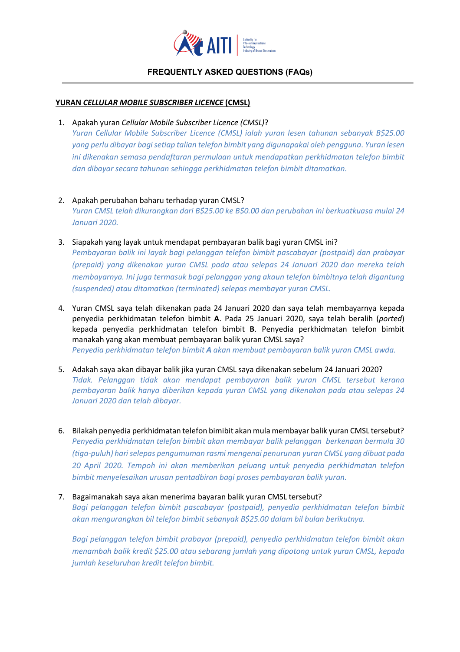

## **FREQUENTLY ASKED QUESTIONS (FAQs)**

#### **YURAN** *CELLULAR MOBILE SUBSCRIBER LICENCE* **(CMSL)**

1. Apakah yuran *Cellular Mobile Subscriber Licence (CMSL)*?

*Yuran Cellular Mobile Subscriber Licence (CMSL) ialah yuran lesen tahunan sebanyak B\$25.00 yang perlu dibayar bagi setiap talian telefon bimbit yang digunapakai oleh pengguna. Yuran lesen ini dikenakan semasa pendaftaran permulaan untuk mendapatkan perkhidmatan telefon bimbit dan dibayar secara tahunan sehingga perkhidmatan telefon bimbit ditamatkan.* 

- 2. Apakah perubahan baharu terhadap yuran CMSL? *Yuran CMSL telah dikurangkan dari B\$25.00 ke B\$0.00 dan perubahan ini berkuatkuasa mulai 24 Januari 2020.*
- 3. Siapakah yang layak untuk mendapat pembayaran balik bagi yuran CMSL ini? *Pembayaran balik ini layak bagi pelanggan telefon bimbit pascabayar (postpaid) dan prabayar (prepaid) yang dikenakan yuran CMSL pada atau selepas 24 Januari 2020 dan mereka telah membayarnya. Ini juga termasuk bagi pelanggan yang akaun telefon bimbitnya telah digantung (suspended) atau ditamatkan (terminated) selepas membayar yuran CMSL.*
- 4. Yuran CMSL saya telah dikenakan pada 24 Januari 2020 dan saya telah membayarnya kepada penyedia perkhidmatan telefon bimbit **A**. Pada 25 Januari 2020, saya telah beralih (*ported*) kepada penyedia perkhidmatan telefon bimbit **B**. Penyedia perkhidmatan telefon bimbit manakah yang akan membuat pembayaran balik yuran CMSL saya? *Penyedia perkhidmatan telefon bimbit A akan membuat pembayaran balik yuran CMSL awda.*
- 5. Adakah saya akan dibayar balik jika yuran CMSL saya dikenakan sebelum 24 Januari 2020? *Tidak. Pelanggan tidak akan mendapat pembayaran balik yuran CMSL tersebut kerana pembayaran balik hanya diberikan kepada yuran CMSL yang dikenakan pada atau selepas 24 Januari 2020 dan telah dibayar.*
- 6. Bilakah penyedia perkhidmatan telefon bimibit akan mula membayar balik yuran CMSL tersebut? *Penyedia perkhidmatan telefon bimbit akan membayar balik pelanggan berkenaan bermula 30 (tiga-puluh) hari selepas pengumuman rasmi mengenai penurunan yuran CMSL yang dibuat pada 20 April 2020. Tempoh ini akan memberikan peluang untuk penyedia perkhidmatan telefon bimbit menyelesaikan urusan pentadbiran bagi proses pembayaran balik yuran.*

#### 7. Bagaimanakah saya akan menerima bayaran balik yuran CMSL tersebut?

*Bagi pelanggan telefon bimbit pascabayar (postpaid), penyedia perkhidmatan telefon bimbit akan mengurangkan bil telefon bimbit sebanyak B\$25.00 dalam bil bulan berikutnya.* 

*Bagi pelanggan telefon bimbit prabayar (prepaid), penyedia perkhidmatan telefon bimbit akan menambah balik kredit \$25.00 atau sebarang jumlah yang dipotong untuk yuran CMSL, kepada jumlah keseluruhan kredit telefon bimbit.*